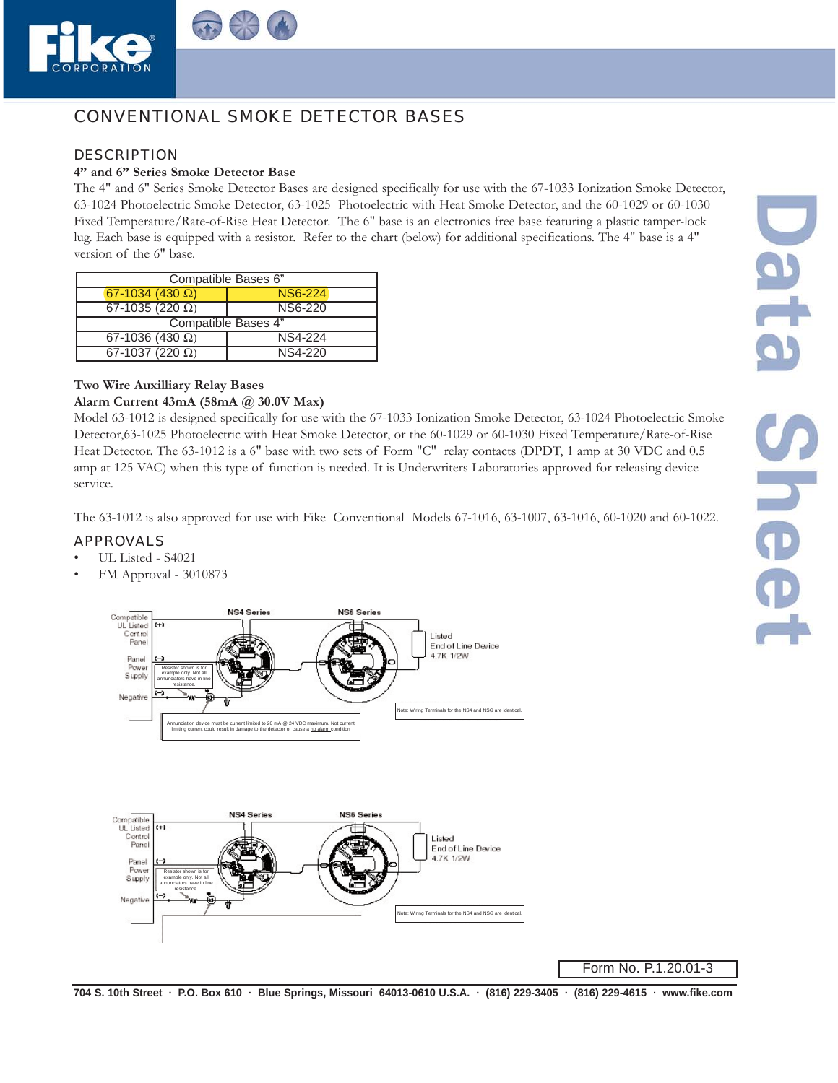



# CONVENTIONAL SMOKE DETECTOR BASES

### DESCRIPTION

# **4" and 6" Series Smoke Detector Base**

The 4" and 6" Series Smoke Detector Bases are designed specifically for use with the 67-1033 Ionization Smoke Detector, 63-1024 Photoelectric Smoke Detector, 63-1025 Photoelectric with Heat Smoke Detector, and the 60-1029 or 60-1030 Fixed Temperature/Rate-of-Rise Heat Detector. The 6" base is an electronics free base featuring a plastic tamper-lock lug. Each base is equipped with a resistor. Refer to the chart (below) for additional specifications. The 4" base is a 4" version of the 6" base.

| Compatible Bases 6"      |                |
|--------------------------|----------------|
| $67 - 1034 (430 \Omega)$ | <b>NS6-224</b> |
| 67-1035 (220 $\Omega$ )  | <b>NS6-220</b> |
| Compatible Bases 4"      |                |
| 67-1036 (430 $\Omega$ )  | <b>NS4-224</b> |
| 67-1037 (220 $\Omega$ )  | NS4-220        |

# **Two Wire Auxilliary Relay Bases**

#### **Alarm Current 43mA (58mA @ 30.0V Max)**

Model 63-1012 is designed specifically for use with the 67-1033 Ionization Smoke Detector, 63-1024 Photoelectric Smoke Detector,63-1025 Photoelectric with Heat Smoke Detector, or the 60-1029 or 60-1030 Fixed Temperature/Rate-of-Rise Heat Detector. The 63-1012 is a 6" base with two sets of Form "C" relay contacts (DPDT, 1 amp at 30 VDC and 0.5 amp at 125 VAC) when this type of function is needed. It is Underwriters Laboratories approved for releasing device service.

The 63-1012 is also approved for use with Fike Conventional Models 67-1016, 63-1007, 63-1016, 60-1020 and 60-1022.

### APPROVALS

- UL Listed S4021
- FM Approval 3010873





Form No. P.1.20.01-3

704 S. 10th Street · P.O. Box 610 · Blue Springs, Missouri 64013-0610 U.S.A. · (816) 229-3405 · (816) 229-4615 · www.fike.com